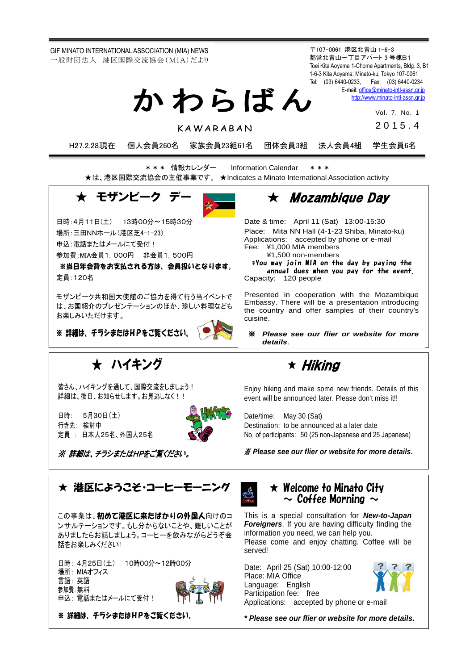GIF MINATO INTERNATIONAL ASSOCIATION (MIA) NEWS 一般財団法人 港区国際交流協会(MIA)だより

〒107-0061 港区北青山 1-6-3 都営北青山一丁目アパート 3 号棟B1 Toei Kita Aoyama 1-Chome Apartments, Bldg. 3, B1 1-6-3 Kita Aoyama; Minato-ku, Tokyo 107-0061 Tel: (03) 6440-0233, Fax: (03) 6440-0234 E-mail[: office@minato-intl-assn.gr.jp](file:///C:/Users/Nuning%20TSURUMAKI/AppData/Local/Microsoft/Windows/Temporary%20Internet%20Files/Content.Outlook/PS4022BJ/office@minato-intl-assn.gr.jp) か わ ら ば ん

[http://www.minato-intl-assn.gr.jp](http://www.minato-intl-assn.gr.jp/)

Vol. 7, No. 1 2 0 1 5 . 4

K A W A R A R A N

H27.2.28現在 個人会員260名 家族会員23組61名 団体会員3組 法人会員4組 学生会員6名

\* \* \* 情報カレンダー Information Calendar \* \* \* ★は、港区国際交流協会の主催事業です。 ★Indicates a Minato International Association activity

★ モザンビーク ラ

日時:4月11日(土) 13時00分~15時30分

場所:三田NNホール(港区芝4-1-23)

申込: 雷話またはメールにて受付!

参加費:MIA会員1,000円 非会員1,500円

※当日年会費をお支払される方は、会員扱いとなります。 定員:120名

モザンビーク共和国大使館のご協力を得て行う当イベントで は、お国紹介のプレゼンテーションのほか、珍しい料理なども お楽しみいただけます。

※ 詳細は、チラシまたはHPをご覧ください。

★ ハイキング

皆さん、ハイキングを通して、国際交流をしましょう! 詳細は、後日、お知らせします。お見逃しなく!!

※ 詳細は、チラシまたはHPをご覧ください。

日時: 5月30日(土) 行き先: 検討中

定員 : 日本人25名、外国人25名

 $\star$  Mozambique Day

Date & time: April 11 (Sat) 13:00-15:30 Place: Mita NN Hall (4-1-23 Shiba, Minato-ku) Applications: accepted by phone or e-mail Fee: ¥1,000 MIA members ¥1,500 non-members

\*You may join MIA on the day by paying the annual dues when you pay for the event. Capacity: 120 people

Presented in cooperation with the Mozambique Embassy. There will be a presentation introducing the country and offer samples of their country's cuisine.

※ *Please see our flier or website for more details*.

★ Hiking

Enjoy hiking and make some new friends. Details of this event will be announced later. Please don't miss it!!

Date/time: May 30 (Sat) Destination: to be announced at a later date No. of participants: 50 (25 non-Japanese and 25 Japanese)

※ *Please see our flier or website for more details.*

★ 港区にようこそ・コーヒーモーニング

この事業は、初めて港区に来たばかりの外国人向けのコ ンサルテーションです。もし分からないことや、難しいことが ありましたらお話しましょう。コーヒーを飲みながらどうぞ会 話をお楽しみください!

日時: 4月25日(土) 10時00分~12時00分 場所: MIAオフィス 言語: 英語 参加費:無料 申込: 電話またはメールにて受付!



※ 詳細は、チラシまたはHPをご覧ください。



 $\star$  Welcome to Minato City  $\sim$  Coffee Morning  $\sim$ 

This is a special consultation for *New-to-Japan Foreigners*. If you are having difficulty finding the information you need, we can help you. Please come and enjoy chatting. Coffee will be served!

Date: April 25 (Sat) 10:00-12:00 Place: MIA Office Language: English Participation fee: free



Applications: accepted by phone or e-mail

*\* Please see our flier or website for more details.*